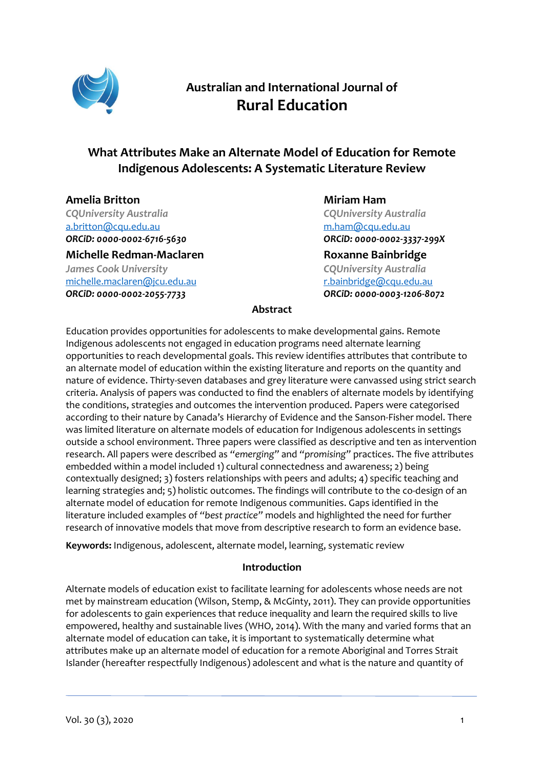

# **Australian and International Journal of Rural Education**

# **What Attributes Make an Alternate Model of Education for Remote Indigenous Adolescents: A Systematic Literature Review**

**Amelia Britton** *CQUniversity Australia* [a.britton@cqu.edu.au](mailto:a.britton@cqu.edu.au) *ORCiD[: 0000-0002-6716-5630](https://orcid.org/0000-0002-6716-5630)*

**Michelle Redman-Maclaren** *James Cook University* [michelle.maclaren@jcu.edu.au](mailto:michelle.maclaren@jcu.edu.au) *ORCiD[: 0000-0002-2055-7733](https://orcid.org/0000-0002-2055-7733)*

**Miriam Ham**

*CQUniversity Australia* [m.ham@cqu.edu.au](mailto:m.ham@cqu.edu.au) *ORCiD: [0000-0002-3337-299X](https://orcid.org/0000-0002-3337-299X)*

**Roxanne Bainbridge** *CQUniversity Australia* [r.bainbridge@cqu.edu.au](mailto:r.bainbridge@cqu.edu.au) *ORCiD: [0000-0003-1206-8072](https://orcid.org/0000-0003-1206-8072)*

# **Abstract**

Education provides opportunities for adolescents to make developmental gains. Remote Indigenous adolescents not engaged in education programs need alternate learning opportunities to reach developmental goals. This review identifies attributes that contribute to an alternate model of education within the existing literature and reports on the quantity and nature of evidence. Thirty-seven databases and grey literature were canvassed using strict search criteria. Analysis of papers was conducted to find the enablers of alternate models by identifying the conditions, strategies and outcomes the intervention produced. Papers were categorised according to their nature by Canada's Hierarchy of Evidence and the Sanson-Fisher model. There was limited literature on alternate models of education for Indigenous adolescents in settings outside a school environment. Three papers were classified as descriptive and ten as intervention research. All papers were described as *"emerging"* and *"promising"* practices. The five attributes embedded within a model included 1) cultural connectedness and awareness; 2) being contextually designed; 3) fosters relationships with peers and adults; 4) specific teaching and learning strategies and; 5) holistic outcomes. The findings will contribute to the co-design of an alternate model of education for remote Indigenous communities. Gaps identified in the literature included examples of *"best practice"* models and highlighted the need for further research of innovative models that move from descriptive research to form an evidence base.

**Keywords:** Indigenous, adolescent, alternate model, learning, systematic review

# **Introduction**

Alternate models of education exist to facilitate learning for adolescents whose needs are not met by mainstream education (Wilson, Stemp, & McGinty, 2011). They can provide opportunities for adolescents to gain experiences that reduce inequality and learn the required skills to live empowered, healthy and sustainable lives (WHO, 2014). With the many and varied forms that an alternate model of education can take, it is important to systematically determine what attributes make up an alternate model of education for a remote Aboriginal and Torres Strait Islander (hereafter respectfully Indigenous) adolescent and what is the nature and quantity of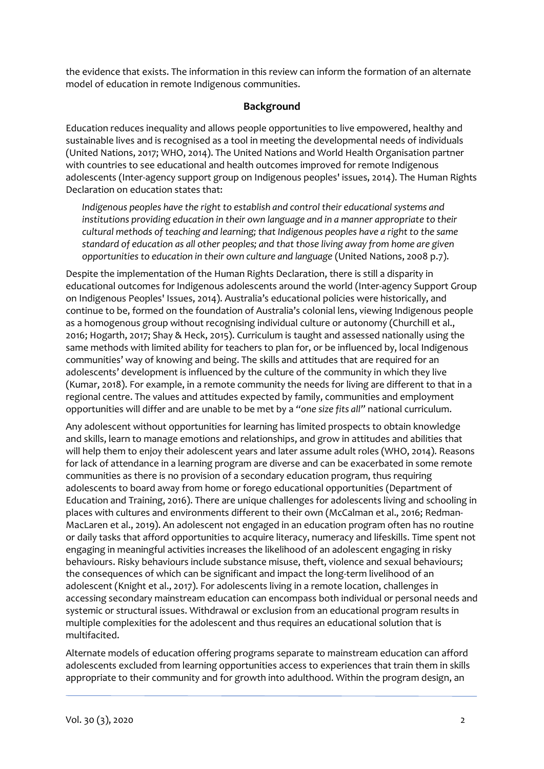the evidence that exists. The information in this review can inform the formation of an alternate model of education in remote Indigenous communities.

# **Background**

Education reduces inequality and allows people opportunities to live empowered, healthy and sustainable lives and is recognised as a tool in meeting the developmental needs of individuals (United Nations, 2017; WHO, 2014). The United Nations and World Health Organisation partner with countries to see educational and health outcomes improved for remote Indigenous adolescents (Inter-agency support group on Indigenous peoples' issues, 2014). The Human Rights Declaration on education states that:

*Indigenous peoples have the right to establish and control their educational systems and institutions providing education in their own language and in a manner appropriate to their cultural methods of teaching and learning; that Indigenous peoples have a right to the same standard of education as all other peoples; and that those living away from home are given opportunities to education in their own culture and language* (United Nations, 2008 p.7).

Despite the implementation of the Human Rights Declaration, there is still a disparity in educational outcomes for Indigenous adolescents around the world (Inter-agency Support Group on Indigenous Peoples' Issues, 2014). Australia's educational policies were historically, and continue to be, formed on the foundation of Australia's colonial lens, viewing Indigenous people as a homogenous group without recognising individual culture or autonomy (Churchill et al., 2016; Hogarth, 2017; Shay & Heck, 2015). Curriculum is taught and assessed nationally using the same methods with limited ability for teachers to plan for, or be influenced by, local Indigenous communities' way of knowing and being. The skills and attitudes that are required for an adolescents' development is influenced by the culture of the community in which they live (Kumar, 2018). For example, in a remote community the needs for living are different to that in a regional centre. The values and attitudes expected by family, communities and employment opportunities will differ and are unable to be met by a *"one size fits all"* national curriculum.

Any adolescent without opportunities for learning has limited prospects to obtain knowledge and skills, learn to manage emotions and relationships, and grow in attitudes and abilities that will help them to enjoy their adolescent years and later assume adult roles (WHO, 2014). Reasons for lack of attendance in a learning program are diverse and can be exacerbated in some remote communities as there is no provision of a secondary education program, thus requiring adolescents to board away from home or forego educational opportunities (Department of Education and Training, 2016). There are unique challenges for adolescents living and schooling in places with cultures and environments different to their own (McCalman et al., 2016; Redman-MacLaren et al., 2019). An adolescent not engaged in an education program often has no routine or daily tasks that afford opportunities to acquire literacy, numeracy and lifeskills. Time spent not engaging in meaningful activities increases the likelihood of an adolescent engaging in risky behaviours. Risky behaviours include substance misuse, theft, violence and sexual behaviours; the consequences of which can be significant and impact the long-term livelihood of an adolescent (Knight et al., 2017). For adolescents living in a remote location, challenges in accessing secondary mainstream education can encompass both individual or personal needs and systemic or structural issues. Withdrawal or exclusion from an educational program results in multiple complexities for the adolescent and thus requires an educational solution that is multifacited.

Alternate models of education offering programs separate to mainstream education can afford adolescents excluded from learning opportunities access to experiences that train them in skills appropriate to their community and for growth into adulthood. Within the program design, an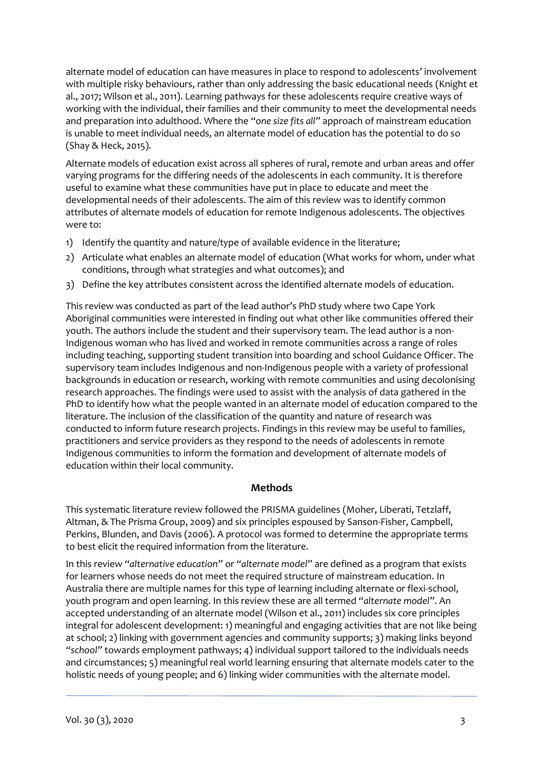alternate model of education can have measures in place to respond to adolescents' involvement with multiple risky behaviours, rather than only addressing the basic educational needs (Knight et al., 2017; Wilson et al., 2011). Learning pathways for these adolescents require creative ways of working with the individual, their families and their community to meet the developmental needs and preparation into adulthood. Where the *"one size fits all"* approach of mainstream education is unable to meet individual needs, an alternate model of education has the potential to do so (Shay & Heck, 2015).

Alternate models of education exist across all spheres of rural, remote and urban areas and offer varying programs for the differing needs of the adolescents in each community. It is therefore useful to examine what these communities have put in place to educate and meet the developmental needs of their adolescents. The aim of this review was to identify common attributes of alternate models of education for remote Indigenous adolescents. The objectives were to:

- 1) Identify the quantity and nature/type of available evidence in the literature;
- 2) Articulate what enables an alternate model of education (What works for whom, under what conditions, through what strategies and what outcomes); and
- 3) Define the key attributes consistent across the identified alternate models of education.

This review was conducted as part of the lead author's PhD study where two Cape York Aboriginal communities were interested in finding out what other like communities offered their youth. The authors include the student and their supervisory team. The lead author is a non-Indigenous woman who has lived and worked in remote communities across a range of roles including teaching, supporting student transition into boarding and school Guidance Officer. The supervisory team includes Indigenous and non-Indigenous people with a variety of professional backgrounds in education or research, working with remote communities and using decolonising research approaches. The findings were used to assist with the analysis of data gathered in the PhD to identify how what the people wanted in an alternate model of education compared to the literature. The inclusion of the classification of the quantity and nature of research was conducted to inform future research projects. Findings in this review may be useful to families, practitioners and service providers as they respond to the needs of adolescents in remote Indigenous communities to inform the formation and development of alternate models of education within their local community.

# **Methods**

This systematic literature review followed the PRISMA guidelines (Moher, Liberati, Tetzlaff, Altman, & The Prisma Group, 2009) and six principles espoused by Sanson-Fisher, Campbell, Perkins, Blunden, and Davis (2006). A protocol was formed to determine the appropriate terms to best elicit the required information from the literature.

In this review *"alternative education"* or *"alternate model"* are defined as a program that exists for learners whose needs do not meet the required structure of mainstream education. In Australia there are multiple names for this type of learning including alternate or flexi-school, youth program and open learning. In this review these are all termed *"alternate model"*. An accepted understanding of an alternate model (Wilson et al., 2011) includes six core principles integral for adolescent development: 1) meaningful and engaging activities that are not like being at school; 2) linking with government agencies and community supports; 3) making links beyond *"school"* towards employment pathways; 4) individual support tailored to the individuals needs and circumstances; 5) meaningful real world learning ensuring that alternate models cater to the holistic needs of young people; and 6) linking wider communities with the alternate model.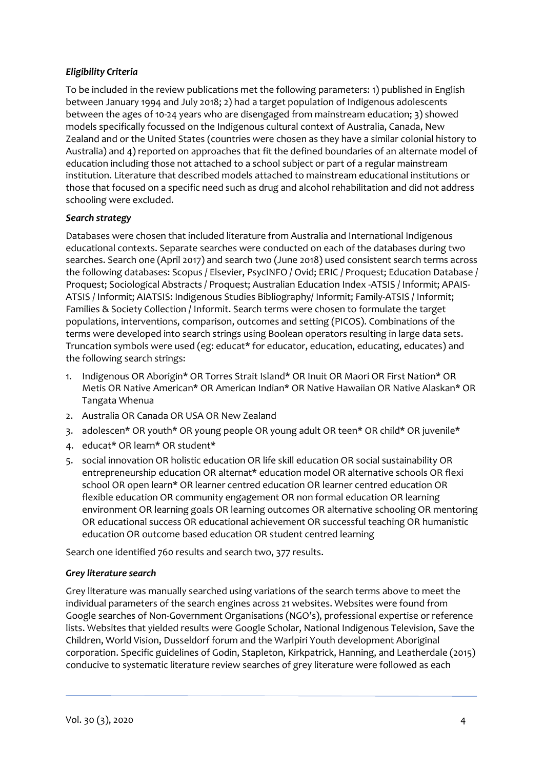# *Eligibility Criteria*

To be included in the review publications met the following parameters: 1) published in English between January 1994 and July 2018; 2) had a target population of Indigenous adolescents between the ages of 10-24 years who are disengaged from mainstream education; 3) showed models specifically focussed on the Indigenous cultural context of Australia, Canada, New Zealand and or the United States (countries were chosen as they have a similar colonial history to Australia) and 4) reported on approaches that fit the defined boundaries of an alternate model of education including those not attached to a school subject or part of a regular mainstream institution. Literature that described models attached to mainstream educational institutions or those that focused on a specific need such as drug and alcohol rehabilitation and did not address schooling were excluded.

# *Search strategy*

Databases were chosen that included literature from Australia and International Indigenous educational contexts. Separate searches were conducted on each of the databases during two searches. Search one (April 2017) and search two (June 2018) used consistent search terms across the following databases: Scopus / Elsevier, PsycINFO / Ovid; ERIC / Proquest; Education Database / Proquest; Sociological Abstracts / Proquest; Australian Education Index -ATSIS / Informit; APAIS-ATSIS / Informit; AIATSIS: Indigenous Studies Bibliography/ Informit; Family-ATSIS / Informit; Families & Society Collection / Informit. Search terms were chosen to formulate the target populations, interventions, comparison, outcomes and setting (PICOS). Combinations of the terms were developed into search strings using Boolean operators resulting in large data sets. Truncation symbols were used (eg: educat\* for educator, education, educating, educates) and the following search strings:

- 1. Indigenous OR Aborigin\* OR Torres Strait Island\* OR Inuit OR Maori OR First Nation\* OR Metis OR Native American\* OR American Indian\* OR Native Hawaiian OR Native Alaskan\* OR Tangata Whenua
- 2. Australia OR Canada OR USA OR New Zealand
- 3. adolescen\* OR youth\* OR young people OR young adult OR teen\* OR child\* OR juvenile\*
- 4. educat\* OR learn\* OR student\*
- 5. social innovation OR holistic education OR life skill education OR social sustainability OR entrepreneurship education OR alternat\* education model OR alternative schools OR flexi school OR open learn\* OR learner centred education OR learner centred education OR flexible education OR community engagement OR non formal education OR learning environment OR learning goals OR learning outcomes OR alternative schooling OR mentoring OR educational success OR educational achievement OR successful teaching OR humanistic education OR outcome based education OR student centred learning

Search one identified 760 results and search two, 377 results.

# *Grey literature search*

Grey literature was manually searched using variations of the search terms above to meet the individual parameters of the search engines across 21 websites. Websites were found from Google searches of Non-Government Organisations (NGO's), professional expertise or reference lists. Websites that yielded results were Google Scholar, National Indigenous Television, Save the Children, World Vision, Dusseldorf forum and the Warlpiri Youth development Aboriginal corporation. Specific guidelines of Godin, Stapleton, Kirkpatrick, Hanning, and Leatherdale (2015) conducive to systematic literature review searches of grey literature were followed as each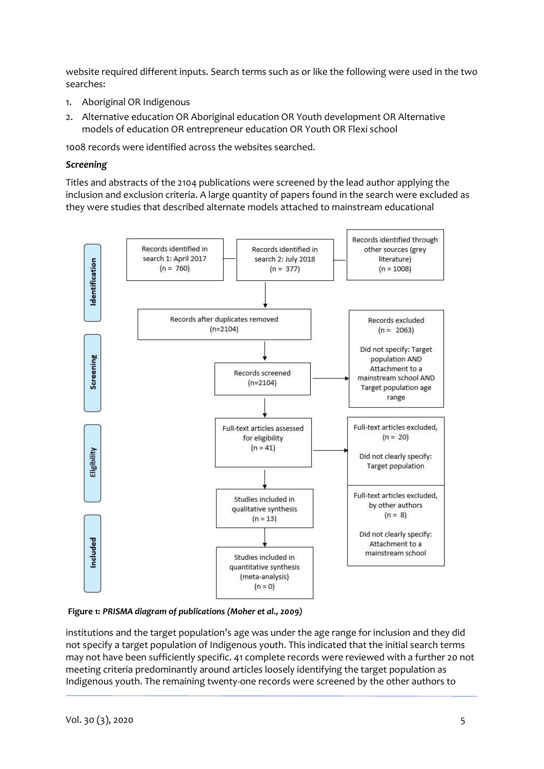website required different inputs. Search terms such as or like the following were used in the two searches:

- 1. Aboriginal OR Indigenous
- 2. Alternative education OR Aboriginal education OR Youth development OR Alternative models of education OR entrepreneur education OR Youth OR Flexi school

1008 records were identified across the websites searched.

#### *Screening*

Titles and abstracts of the 2104 publications were screened by the lead author applying the inclusion and exclusion criteria. A large quantity of papers found in the search were excluded as they were studies that described alternate models attached to mainstream educational



**Figure 1:** *PRISMA diagram of publications (Moher et al., 2009)*

institutions and the target population's age was under the age range for inclusion and they did not specify a target population of Indigenous youth. This indicated that the initial search terms may not have been sufficiently specific. 41 complete records were reviewed with a further 20 not meeting criteria predominantly around articles loosely identifying the target population as Indigenous youth. The remaining twenty-one records were screened by the other authors to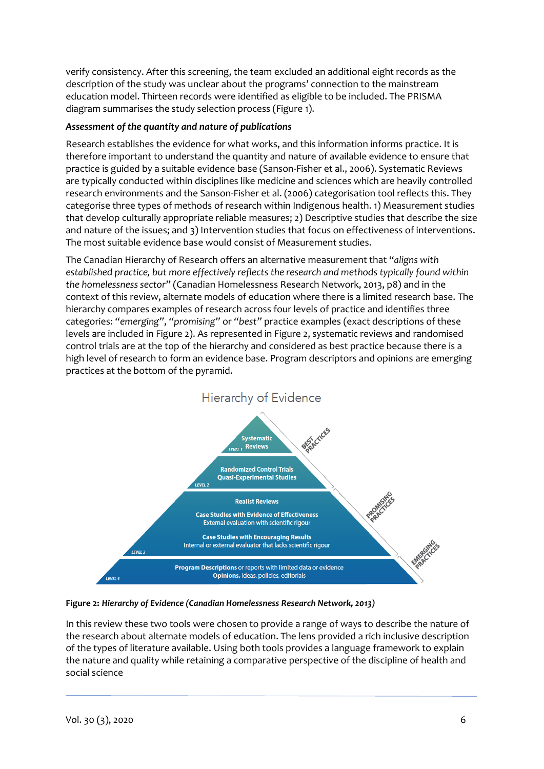verify consistency. After this screening, the team excluded an additional eight records as the description of the study was unclear about the programs' connection to the mainstream education model. Thirteen records were identified as eligible to be included. The PRISMA diagram summarises the study selection process (Figure 1).

# *Assessment of the quantity and nature of publications*

Research establishes the evidence for what works, and this information informs practice. It is therefore important to understand the quantity and nature of available evidence to ensure that practice is guided by a suitable evidence base (Sanson-Fisher et al., 2006). Systematic Reviews are typically conducted within disciplines like medicine and sciences which are heavily controlled research environments and the Sanson-Fisher et al. (2006) categorisation tool reflects this. They categorise three types of methods of research within Indigenous health. 1) Measurement studies that develop culturally appropriate reliable measures; 2) Descriptive studies that describe the size and nature of the issues; and 3) Intervention studies that focus on effectiveness of interventions. The most suitable evidence base would consist of Measurement studies.

The Canadian Hierarchy of Research offers an alternative measurement that "*aligns with established practice, but more effectively reflects the research and methods typically found within the homelessness sector*" (Canadian Homelessness Research Network, 2013, p8) and in the context of this review, alternate models of education where there is a limited research base. The hierarchy compares examples of research across four levels of practice and identifies three categories: *"emerging"*, *"promising"* or *"best"* practice examples (exact descriptions of these levels are included in Figure 2). As represented in Figure 2, systematic reviews and randomised control trials are at the top of the hierarchy and considered as best practice because there is a high level of research to form an evidence base. Program descriptors and opinions are emerging practices at the bottom of the pyramid.



**Figure 2:** *Hierarchy of Evidence (Canadian Homelessness Research Network, 2013)*

In this review these two tools were chosen to provide a range of ways to describe the nature of the research about alternate models of education. The lens provided a rich inclusive description of the types of literature available. Using both tools provides a language framework to explain the nature and quality while retaining a comparative perspective of the discipline of health and social science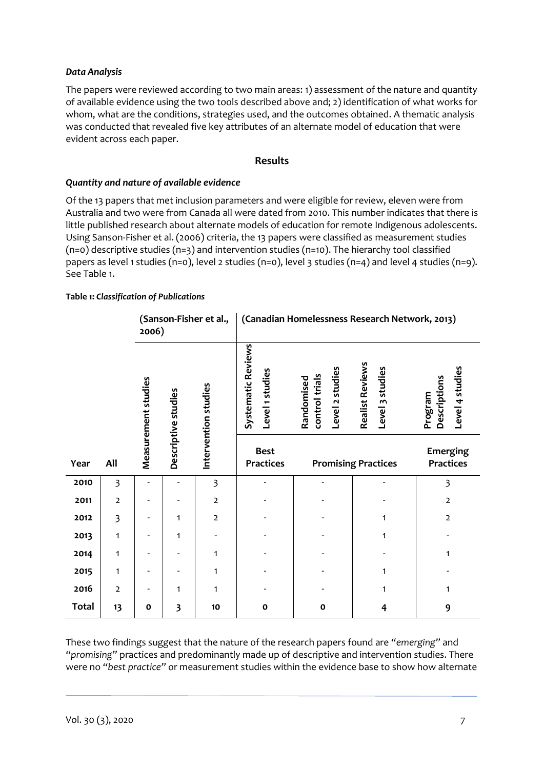# *Data Analysis*

The papers were reviewed according to two main areas: 1) assessment of the nature and quantity of available evidence using the two tools described above and; 2) identification of what works for whom, what are the conditions, strategies used, and the outcomes obtained. A thematic analysis was conducted that revealed five key attributes of an alternate model of education that were evident across each paper.

#### **Results**

#### *Quantity and nature of available evidence*

Of the 13 papers that met inclusion parameters and were eligible for review, eleven were from Australia and two were from Canada all were dated from 2010. This number indicates that there is little published research about alternate models of education for remote Indigenous adolescents. Using Sanson-Fisher et al. (2006) criteria, the 13 papers were classified as measurement studies (n=0) descriptive studies (n=3) and intervention studies (n=10). The hierarchy tool classified papers as level 1 studies (n=0), level 2 studies (n=0), level 3 studies (n=4) and level 4 studies (n=9). See Table 1.

#### **Table 1:** *Classification of Publications*

|              |                         | 2006)               |                         | (Sanson-Fisher et al.,  | (Canadian Homelessness Research Network, 2013) |                                                 |                                           |                                            |  |
|--------------|-------------------------|---------------------|-------------------------|-------------------------|------------------------------------------------|-------------------------------------------------|-------------------------------------------|--------------------------------------------|--|
|              |                         | Measurement studies | Descriptive studies     | Intervention studies    | Systematic Reviews<br>Level 1 studies          | Level 2 studies<br>control trials<br>Randomised | <b>Realist Reviews</b><br>Level 3 studies | Level 4 studies<br>Descriptions<br>Program |  |
| Year         | All                     |                     |                         |                         | <b>Best</b><br><b>Practices</b>                |                                                 | <b>Promising Practices</b>                | <b>Emerging</b><br><b>Practices</b>        |  |
| 2010         | $\overline{\mathbf{3}}$ |                     |                         | $\overline{\mathbf{3}}$ |                                                |                                                 |                                           | 3                                          |  |
| 2011         | $\overline{2}$          |                     |                         | $\overline{2}$          |                                                |                                                 |                                           | $\overline{2}$                             |  |
| 2012         | $\overline{\mathbf{3}}$ |                     | 1                       | $\overline{2}$          |                                                |                                                 | 1                                         | $\overline{2}$                             |  |
| 2013         | 1                       |                     | 1                       |                         |                                                |                                                 | 1                                         |                                            |  |
| 2014         | 1                       |                     |                         | 1                       |                                                |                                                 |                                           | 1                                          |  |
| 2015         | 1                       |                     |                         | 1                       |                                                |                                                 | 1                                         |                                            |  |
| 2016         | $\overline{2}$          |                     | 1                       | 1                       |                                                |                                                 | 1                                         | 1                                          |  |
| <b>Total</b> | 13                      | $\mathbf{o}$        | $\overline{\mathbf{3}}$ | 10                      | $\mathbf{o}$                                   | $\mathbf 0$                                     | 4                                         | 9                                          |  |

These two findings suggest that the nature of the research papers found are *"emerging"* and *"promising"* practices and predominantly made up of descriptive and intervention studies. There were no *"best practice"* or measurement studies within the evidence base to show how alternate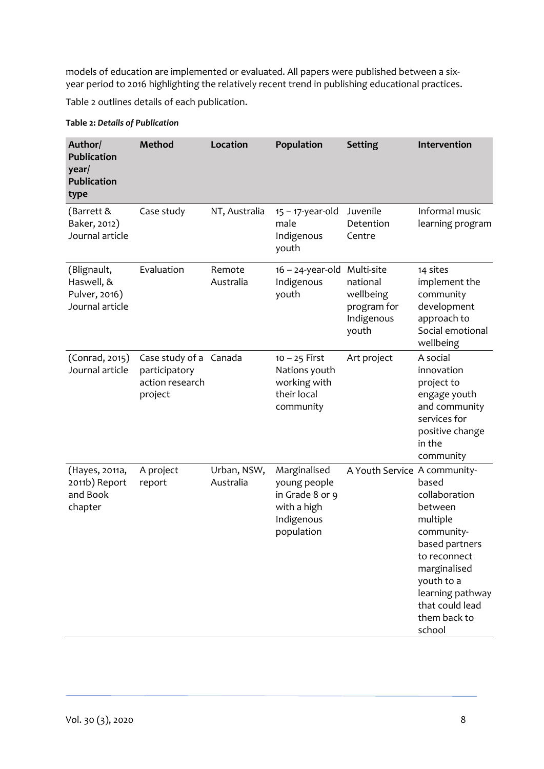models of education are implemented or evaluated. All papers were published between a sixyear period to 2016 highlighting the relatively recent trend in publishing educational practices.

Table 2 outlines details of each publication.

#### **Table 2:** *Details of Publication*

| Author/<br><b>Publication</b><br>year/<br><b>Publication</b><br>type | <b>Method</b>                                                         | Location                 | Population                                                                                 | <b>Setting</b>                                                            | Intervention                                                                                                                                                                                 |
|----------------------------------------------------------------------|-----------------------------------------------------------------------|--------------------------|--------------------------------------------------------------------------------------------|---------------------------------------------------------------------------|----------------------------------------------------------------------------------------------------------------------------------------------------------------------------------------------|
| (Barrett &<br>Baker, 2012)<br>Journal article                        | Case study                                                            | NT, Australia            | $15 - 17$ -year-old<br>male<br>Indigenous<br>youth                                         | Juvenile<br>Detention<br>Centre                                           | Informal music<br>learning program                                                                                                                                                           |
| (Blignault,<br>Haswell, &<br>Pulver, 2016)<br>Journal article        | Evaluation                                                            | Remote<br>Australia      | $16 - 24$ -year-old<br>Indigenous<br>youth                                                 | Multi-site<br>national<br>wellbeing<br>program for<br>Indigenous<br>youth | 14 sites<br>implement the<br>community<br>development<br>approach to<br>Social emotional<br>wellbeing                                                                                        |
| (Conrad, 2015)<br>Journal article                                    | Case study of a Canada<br>participatory<br>action research<br>project |                          | $10 - 25$ First<br>Nations youth<br>working with<br>their local<br>community               | Art project                                                               | A social<br>innovation<br>project to<br>engage youth<br>and community<br>services for<br>positive change<br>in the<br>community                                                              |
| (Hayes, 2011a,<br>2011b) Report<br>and Book<br>chapter               | A project<br>report                                                   | Urban, NSW,<br>Australia | Marginalised<br>young people<br>in Grade 8 or 9<br>with a high<br>Indigenous<br>population | A Youth Service A community-                                              | based<br>collaboration<br>between<br>multiple<br>community-<br>based partners<br>to reconnect<br>marginalised<br>youth to a<br>learning pathway<br>that could lead<br>them back to<br>school |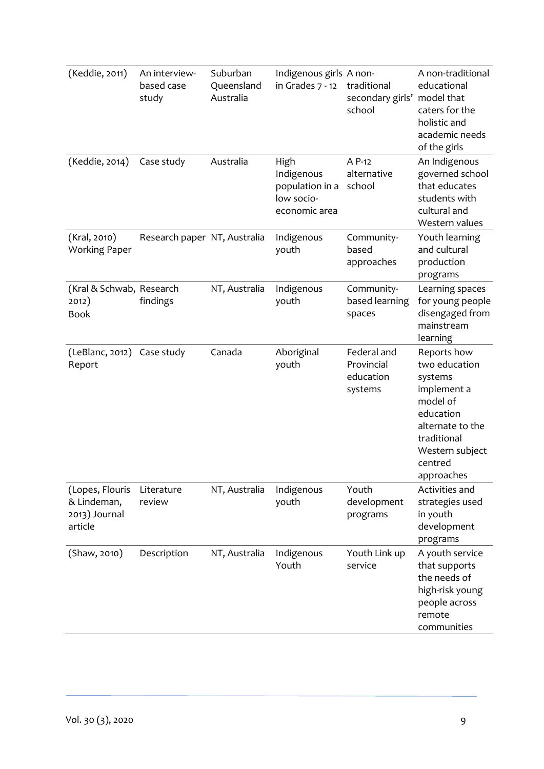| (Keddie, 2011)                                             | An interview-<br>based case<br>study | Suburban<br>Queensland<br>Australia | Indigenous girls A non-<br>in Grades 7 - 12                          | traditional<br>secondary girls'<br>school         | A non-traditional<br>educational<br>model that<br>caters for the<br>holistic and<br>academic needs<br>of the girls                                             |
|------------------------------------------------------------|--------------------------------------|-------------------------------------|----------------------------------------------------------------------|---------------------------------------------------|----------------------------------------------------------------------------------------------------------------------------------------------------------------|
| (Keddie, 2014)                                             | Case study                           | Australia                           | High<br>Indigenous<br>population in a<br>low socio-<br>economic area | A P-12<br>alternative<br>school                   | An Indigenous<br>governed school<br>that educates<br>students with<br>cultural and<br>Western values                                                           |
| (Kral, 2010)<br><b>Working Paper</b>                       | Research paper NT, Australia         |                                     | Indigenous<br>youth                                                  | Community-<br>based<br>approaches                 | Youth learning<br>and cultural<br>production<br>programs                                                                                                       |
| (Kral & Schwab, Research<br>2012)<br><b>Book</b>           | findings                             | NT, Australia                       | Indigenous<br>youth                                                  | Community-<br>based learning<br>spaces            | Learning spaces<br>for young people<br>disengaged from<br>mainstream<br>learning                                                                               |
| (LeBlanc, 2012)<br>Report                                  | Case study                           | Canada                              | Aboriginal<br>youth                                                  | Federal and<br>Provincial<br>education<br>systems | Reports how<br>two education<br>systems<br>implement a<br>model of<br>education<br>alternate to the<br>traditional<br>Western subject<br>centred<br>approaches |
| (Lopes, Flouris<br>& Lindeman,<br>2013) Journal<br>article | Literature<br>review                 | NT, Australia                       | Indigenous<br>youth                                                  | Youth<br>development<br>programs                  | Activities and<br>strategies used<br>in youth<br>development<br>programs                                                                                       |
| (Shaw, 2010)                                               | Description                          | NT, Australia                       | Indigenous<br>Youth                                                  | Youth Link up<br>service                          | A youth service<br>that supports<br>the needs of<br>high-risk young<br>people across<br>remote<br>communities                                                  |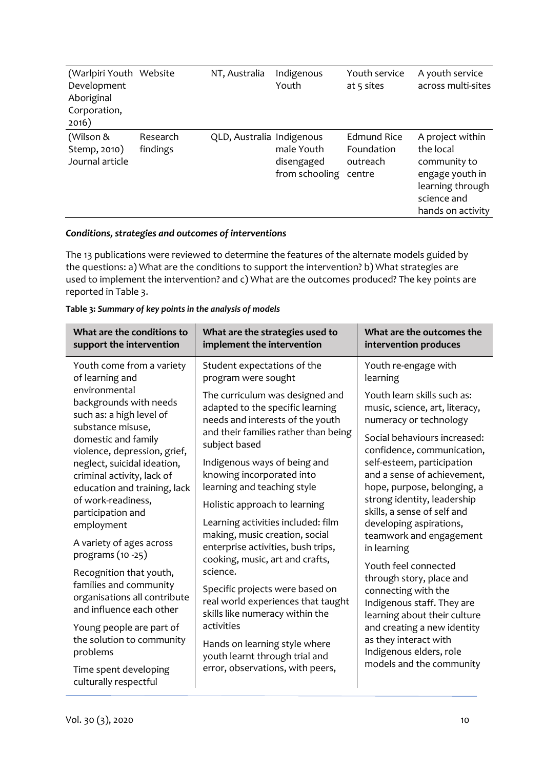| (Warlpiri Youth Website<br>Development<br>Aboriginal<br>Corporation,<br>2016) |                      | NT, Australia             | Indigenous<br>Youth                        | Youth service<br>at 5 sites                     | A youth service<br>across multi-sites                                                                                    |
|-------------------------------------------------------------------------------|----------------------|---------------------------|--------------------------------------------|-------------------------------------------------|--------------------------------------------------------------------------------------------------------------------------|
| (Wilson &<br>Stemp, 2010)<br>Journal article                                  | Research<br>findings | QLD, Australia Indigenous | male Youth<br>disengaged<br>from schooling | Edmund Rice<br>Foundation<br>outreach<br>centre | A project within<br>the local<br>community to<br>engage youth in<br>learning through<br>science and<br>hands on activity |

# *Conditions, strategies and outcomes of interventions*

The 13 publications were reviewed to determine the features of the alternate models guided by the questions: a) What are the conditions to support the intervention? b) What strategies are used to implement the intervention? and c) What are the outcomes produced? The key points are reported in Table 3.

# **Table 3:** *Summary of key points in the analysis of models*

| What are the conditions to<br>support the intervention                                    | What are the strategies used to<br>implement the intervention                                                                                 | What are the outcomes the<br>intervention produces                                                                                                                                  |  |
|-------------------------------------------------------------------------------------------|-----------------------------------------------------------------------------------------------------------------------------------------------|-------------------------------------------------------------------------------------------------------------------------------------------------------------------------------------|--|
| Youth come from a variety<br>of learning and                                              | Student expectations of the<br>program were sought                                                                                            | Youth re-engage with<br>learning                                                                                                                                                    |  |
| environmental<br>backgrounds with needs<br>such as: a high level of<br>substance misuse,  | The curriculum was designed and<br>adapted to the specific learning<br>needs and interests of the youth                                       | Youth learn skills such as:<br>music, science, art, literacy,<br>numeracy or technology                                                                                             |  |
| domestic and family<br>violence, depression, grief,                                       | and their families rather than being<br>subject based                                                                                         | Social behaviours increased:<br>confidence, communication,                                                                                                                          |  |
| neglect, suicidal ideation,<br>criminal activity, lack of<br>education and training, lack | Indigenous ways of being and<br>knowing incorporated into<br>learning and teaching style                                                      | self-esteem, participation<br>and a sense of achievement,<br>hope, purpose, belonging, a                                                                                            |  |
| of work-readiness,<br>participation and                                                   | Holistic approach to learning                                                                                                                 | strong identity, leadership<br>skills, a sense of self and<br>developing aspirations,<br>teamwork and engagement<br>in learning<br>Youth feel connected<br>through story, place and |  |
| employment<br>A variety of ages across<br>programs (10 -25)                               | Learning activities included: film<br>making, music creation, social<br>enterprise activities, bush trips,<br>cooking, music, art and crafts, |                                                                                                                                                                                     |  |
| Recognition that youth,                                                                   | science.                                                                                                                                      |                                                                                                                                                                                     |  |
| families and community<br>organisations all contribute<br>and influence each other        | Specific projects were based on<br>real world experiences that taught<br>skills like numeracy within the                                      | connecting with the<br>Indigenous staff. They are<br>learning about their culture                                                                                                   |  |
| Young people are part of<br>the solution to community                                     | activities                                                                                                                                    | and creating a new identity<br>as they interact with                                                                                                                                |  |
| problems                                                                                  | Hands on learning style where<br>youth learnt through trial and                                                                               | Indigenous elders, role<br>models and the community                                                                                                                                 |  |
| Time spent developing<br>culturally respectful                                            | error, observations, with peers,                                                                                                              |                                                                                                                                                                                     |  |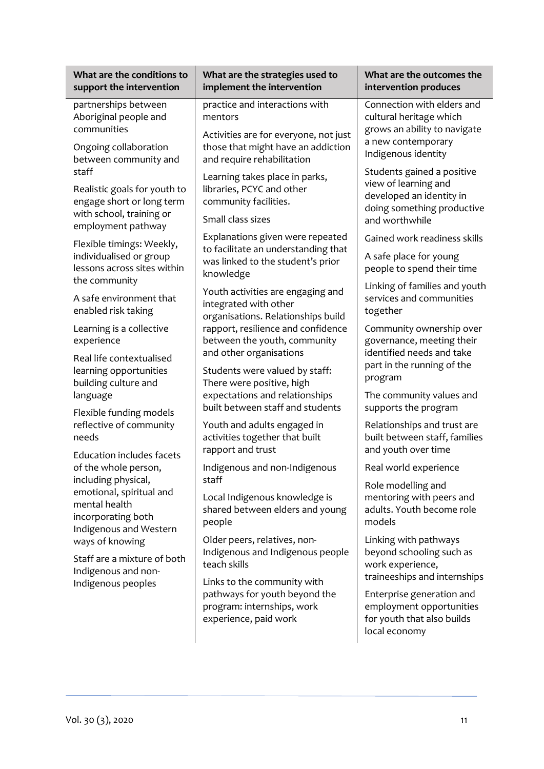| What are the conditions to                                                                                                                    | What are the strategies used to                                                                                                         | What are the outcomes the                                                                                                          |  |
|-----------------------------------------------------------------------------------------------------------------------------------------------|-----------------------------------------------------------------------------------------------------------------------------------------|------------------------------------------------------------------------------------------------------------------------------------|--|
| support the intervention                                                                                                                      | implement the intervention                                                                                                              | intervention produces                                                                                                              |  |
| partnerships between<br>Aboriginal people and<br>communities<br>Ongoing collaboration                                                         | practice and interactions with<br>mentors<br>Activities are for everyone, not just<br>those that might have an addiction                | Connection with elders and<br>cultural heritage which<br>grows an ability to navigate<br>a new contemporary<br>Indigenous identity |  |
| between community and<br>staff<br>Realistic goals for youth to<br>engage short or long term<br>with school, training or<br>employment pathway | and require rehabilitation<br>Learning takes place in parks,<br>libraries, PCYC and other<br>community facilities.<br>Small class sizes | Students gained a positive<br>view of learning and<br>developed an identity in<br>doing something productive<br>and worthwhile     |  |
| Flexible timings: Weekly,<br>individualised or group<br>lessons across sites within<br>the community                                          | Explanations given were repeated<br>to facilitate an understanding that<br>was linked to the student's prior<br>knowledge               | Gained work readiness skills<br>A safe place for young<br>people to spend their time                                               |  |
| A safe environment that<br>enabled risk taking                                                                                                | Youth activities are engaging and<br>integrated with other<br>organisations. Relationships build                                        | Linking of families and youth<br>services and communities<br>together                                                              |  |
| Learning is a collective                                                                                                                      | rapport, resilience and confidence                                                                                                      | Community ownership over                                                                                                           |  |
| experience                                                                                                                                    | between the youth, community                                                                                                            | governance, meeting their                                                                                                          |  |
| Real life contextualised                                                                                                                      | and other organisations                                                                                                                 | identified needs and take                                                                                                          |  |
| learning opportunities                                                                                                                        | Students were valued by staff:                                                                                                          | part in the running of the                                                                                                         |  |
| building culture and                                                                                                                          | There were positive, high                                                                                                               | program                                                                                                                            |  |
| language                                                                                                                                      | expectations and relationships                                                                                                          | The community values and                                                                                                           |  |
| Flexible funding models                                                                                                                       | built between staff and students                                                                                                        | supports the program                                                                                                               |  |
| reflective of community                                                                                                                       | Youth and adults engaged in                                                                                                             | Relationships and trust are                                                                                                        |  |
| needs                                                                                                                                         | activities together that built                                                                                                          | built between staff, families                                                                                                      |  |
| <b>Education includes facets</b>                                                                                                              | rapport and trust                                                                                                                       | and youth over time                                                                                                                |  |
| of the whole person,                                                                                                                          | Indigenous and non-Indigenous                                                                                                           | Real world experience                                                                                                              |  |
| including physical,<br>emotional, spiritual and<br>mental health<br>incorporating both<br>Indigenous and Western                              | staff<br>Local Indigenous knowledge is<br>shared between elders and young<br>people                                                     | Role modelling and<br>mentoring with peers and<br>adults. Youth become role<br>models                                              |  |
| ways of knowing                                                                                                                               | Older peers, relatives, non-                                                                                                            | Linking with pathways                                                                                                              |  |
| Staff are a mixture of both                                                                                                                   | Indigenous and Indigenous people                                                                                                        | beyond schooling such as                                                                                                           |  |
| Indigenous and non-                                                                                                                           | teach skills                                                                                                                            | work experience,                                                                                                                   |  |
| Indigenous peoples                                                                                                                            | Links to the community with                                                                                                             | traineeships and internships                                                                                                       |  |
|                                                                                                                                               | pathways for youth beyond the<br>program: internships, work<br>experience, paid work                                                    | Enterprise generation and<br>employment opportunities<br>for youth that also builds<br>local economy                               |  |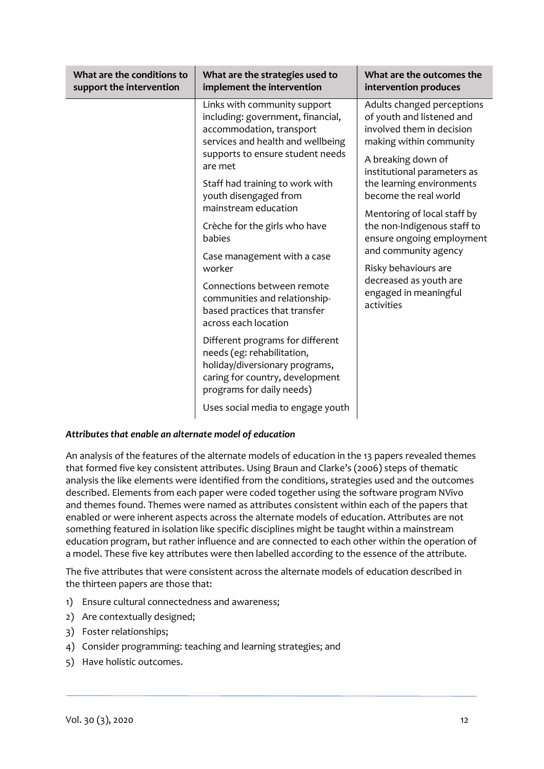| What are the conditions to<br>support the intervention | What are the strategies used to<br>implement the intervention                                                                                                    | What are the outcomes the<br>intervention produces                                                              |
|--------------------------------------------------------|------------------------------------------------------------------------------------------------------------------------------------------------------------------|-----------------------------------------------------------------------------------------------------------------|
|                                                        | Links with community support<br>including: government, financial,<br>accommodation, transport<br>services and health and wellbeing                               | Adults changed perceptions<br>of youth and listened and<br>involved them in decision<br>making within community |
|                                                        | supports to ensure student needs<br>are met                                                                                                                      | A breaking down of<br>institutional parameters as                                                               |
|                                                        | Staff had training to work with<br>youth disengaged from                                                                                                         | the learning environments<br>become the real world                                                              |
|                                                        | mainstream education<br>Crèche for the girls who have                                                                                                            | Mentoring of local staff by<br>the non-Indigenous staff to                                                      |
|                                                        | babies                                                                                                                                                           | ensure ongoing employment<br>and community agency                                                               |
|                                                        | Case management with a case<br>worker                                                                                                                            | Risky behaviours are<br>decreased as youth are                                                                  |
|                                                        | Connections between remote<br>communities and relationship-<br>based practices that transfer<br>across each location                                             | engaged in meaningful<br>activities                                                                             |
|                                                        | Different programs for different<br>needs (eg: rehabilitation,<br>holiday/diversionary programs,<br>caring for country, development<br>programs for daily needs) |                                                                                                                 |
|                                                        | Uses social media to engage youth                                                                                                                                |                                                                                                                 |

#### *Attributes that enable an alternate model of education*

An analysis of the features of the alternate models of education in the 13 papers revealed themes that formed five key consistent attributes. Using Braun and Clarke's (2006) steps of thematic analysis the like elements were identified from the conditions, strategies used and the outcomes described. Elements from each paper were coded together using the software program NVivo and themes found. Themes were named as attributes consistent within each of the papers that enabled or were inherent aspects across the alternate models of education. Attributes are not something featured in isolation like specific disciplines might be taught within a mainstream education program, but rather influence and are connected to each other within the operation of a model. These five key attributes were then labelled according to the essence of the attribute.

The five attributes that were consistent across the alternate models of education described in the thirteen papers are those that:

- 1) Ensure cultural connectedness and awareness;
- 2) Are contextually designed;
- 3) Foster relationships;
- 4) Consider programming: teaching and learning strategies; and
- 5) Have holistic outcomes.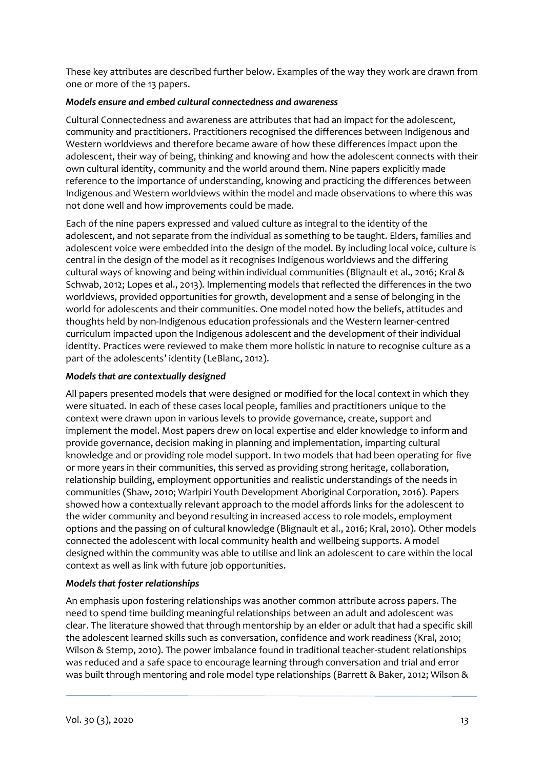These key attributes are described further below. Examples of the way they work are drawn from one or more of the 13 papers.

# *Models ensure and embed cultural connectedness and awareness*

Cultural Connectedness and awareness are attributes that had an impact for the adolescent, community and practitioners. Practitioners recognised the differences between Indigenous and Western worldviews and therefore became aware of how these differences impact upon the adolescent, their way of being, thinking and knowing and how the adolescent connects with their own cultural identity, community and the world around them. Nine papers explicitly made reference to the importance of understanding, knowing and practicing the differences between Indigenous and Western worldviews within the model and made observations to where this was not done well and how improvements could be made.

Each of the nine papers expressed and valued culture as integral to the identity of the adolescent, and not separate from the individual as something to be taught. Elders, families and adolescent voice were embedded into the design of the model. By including local voice, culture is central in the design of the model as it recognises Indigenous worldviews and the differing cultural ways of knowing and being within individual communities (Blignault et al., 2016; Kral & Schwab, 2012; Lopes et al., 2013). Implementing models that reflected the differences in the two worldviews, provided opportunities for growth, development and a sense of belonging in the world for adolescents and their communities. One model noted how the beliefs, attitudes and thoughts held by non-Indigenous education professionals and the Western learner-centred curriculum impacted upon the Indigenous adolescent and the development of their individual identity. Practices were reviewed to make them more holistic in nature to recognise culture as a part of the adolescents' identity (LeBlanc, 2012).

#### *Models that are contextually designed*

All papers presented models that were designed or modified for the local context in which they were situated. In each of these cases local people, families and practitioners unique to the context were drawn upon in various levels to provide governance, create, support and implement the model. Most papers drew on local expertise and elder knowledge to inform and provide governance, decision making in planning and implementation, imparting cultural knowledge and or providing role model support. In two models that had been operating for five or more years in their communities, this served as providing strong heritage, collaboration, relationship building, employment opportunities and realistic understandings of the needs in communities (Shaw, 2010; Warlpiri Youth Development Aboriginal Corporation, 2016). Papers showed how a contextually relevant approach to the model affords links for the adolescent to the wider community and beyond resulting in increased access to role models, employment options and the passing on of cultural knowledge (Blignault et al., 2016; Kral, 2010). Other models connected the adolescent with local community health and wellbeing supports. A model designed within the community was able to utilise and link an adolescent to care within the local context as well as link with future job opportunities.

# *Models that foster relationships*

An emphasis upon fostering relationships was another common attribute across papers. The need to spend time building meaningful relationships between an adult and adolescent was clear. The literature showed that through mentorship by an elder or adult that had a specific skill the adolescent learned skills such as conversation, confidence and work readiness (Kral, 2010; Wilson & Stemp, 2010). The power imbalance found in traditional teacher-student relationships was reduced and a safe space to encourage learning through conversation and trial and error was built through mentoring and role model type relationships (Barrett & Baker, 2012; Wilson &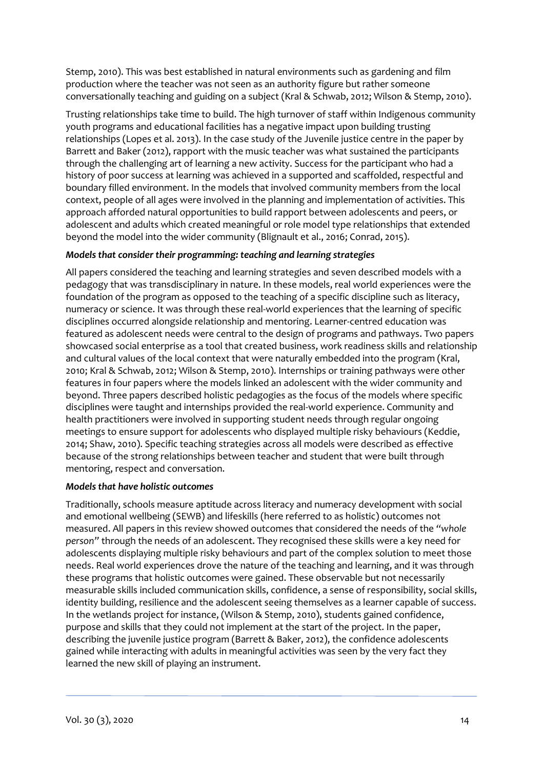Stemp, 2010). This was best established in natural environments such as gardening and film production where the teacher was not seen as an authority figure but rather someone conversationally teaching and guiding on a subject (Kral & Schwab, 2012; Wilson & Stemp, 2010).

Trusting relationships take time to build. The high turnover of staff within Indigenous community youth programs and educational facilities has a negative impact upon building trusting relationships (Lopes et al. 2013). In the case study of the Juvenile justice centre in the paper by Barrett and Baker (2012), rapport with the music teacher was what sustained the participants through the challenging art of learning a new activity. Success for the participant who had a history of poor success at learning was achieved in a supported and scaffolded, respectful and boundary filled environment. In the models that involved community members from the local context, people of all ages were involved in the planning and implementation of activities. This approach afforded natural opportunities to build rapport between adolescents and peers, or adolescent and adults which created meaningful or role model type relationships that extended beyond the model into the wider community (Blignault et al., 2016; Conrad, 2015).

# *Models that consider their programming: teaching and learning strategies*

All papers considered the teaching and learning strategies and seven described models with a pedagogy that was transdisciplinary in nature. In these models, real world experiences were the foundation of the program as opposed to the teaching of a specific discipline such as literacy, numeracy or science. It was through these real-world experiences that the learning of specific disciplines occurred alongside relationship and mentoring. Learner-centred education was featured as adolescent needs were central to the design of programs and pathways. Two papers showcased social enterprise as a tool that created business, work readiness skills and relationship and cultural values of the local context that were naturally embedded into the program (Kral, 2010; Kral & Schwab, 2012; Wilson & Stemp, 2010). Internships or training pathways were other features in four papers where the models linked an adolescent with the wider community and beyond. Three papers described holistic pedagogies as the focus of the models where specific disciplines were taught and internships provided the real-world experience. Community and health practitioners were involved in supporting student needs through regular ongoing meetings to ensure support for adolescents who displayed multiple risky behaviours (Keddie, 2014; Shaw, 2010). Specific teaching strategies across all models were described as effective because of the strong relationships between teacher and student that were built through mentoring, respect and conversation.

# *Models that have holistic outcomes*

Traditionally, schools measure aptitude across literacy and numeracy development with social and emotional wellbeing (SEWB) and lifeskills (here referred to as holistic) outcomes not measured. All papers in this review showed outcomes that considered the needs of the *"whole person"* through the needs of an adolescent. They recognised these skills were a key need for adolescents displaying multiple risky behaviours and part of the complex solution to meet those needs. Real world experiences drove the nature of the teaching and learning, and it was through these programs that holistic outcomes were gained. These observable but not necessarily measurable skills included communication skills, confidence, a sense of responsibility, social skills, identity building, resilience and the adolescent seeing themselves as a learner capable of success. In the wetlands project for instance, (Wilson & Stemp, 2010), students gained confidence, purpose and skills that they could not implement at the start of the project. In the paper, describing the juvenile justice program (Barrett & Baker, 2012), the confidence adolescents gained while interacting with adults in meaningful activities was seen by the very fact they learned the new skill of playing an instrument.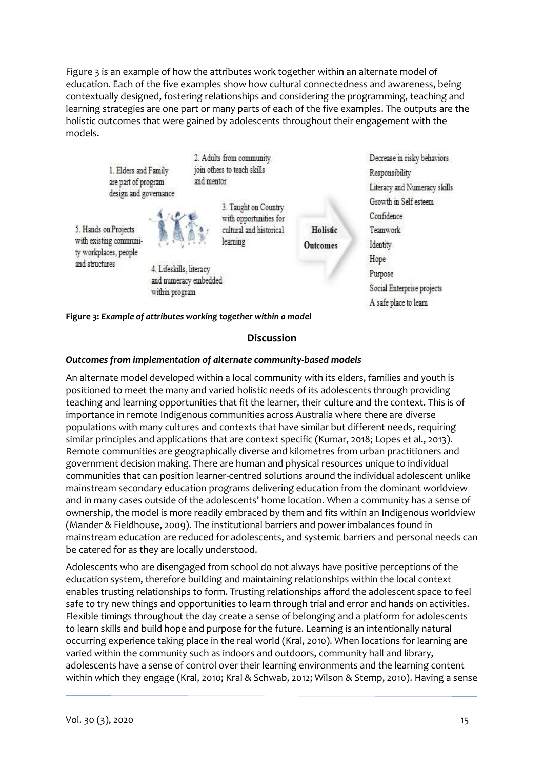Figure 3 is an example of how the attributes work together within an alternate model of education. Each of the five examples show how cultural connectedness and awareness, being contextually designed, fostering relationships and considering the programming, teaching and learning strategies are one part or many parts of each of the five examples. The outputs are the holistic outcomes that were gained by adolescents throughout their engagement with the models.



**Figure 3:** *Example of attributes working together within a model*

# **Discussion**

#### *Outcomes from implementation of alternate community-based models*

An alternate model developed within a local community with its elders, families and youth is positioned to meet the many and varied holistic needs of its adolescents through providing teaching and learning opportunities that fit the learner, their culture and the context. This is of importance in remote Indigenous communities across Australia where there are diverse populations with many cultures and contexts that have similar but different needs, requiring similar principles and applications that are context specific (Kumar, 2018; Lopes et al., 2013). Remote communities are geographically diverse and kilometres from urban practitioners and government decision making. There are human and physical resources unique to individual communities that can position learner-centred solutions around the individual adolescent unlike mainstream secondary education programs delivering education from the dominant worldview and in many cases outside of the adolescents' home location. When a community has a sense of ownership, the model is more readily embraced by them and fits within an Indigenous worldview (Mander & Fieldhouse, 2009). The institutional barriers and power imbalances found in mainstream education are reduced for adolescents, and systemic barriers and personal needs can be catered for as they are locally understood.

Adolescents who are disengaged from school do not always have positive perceptions of the education system, therefore building and maintaining relationships within the local context enables trusting relationships to form. Trusting relationships afford the adolescent space to feel safe to try new things and opportunities to learn through trial and error and hands on activities. Flexible timings throughout the day create a sense of belonging and a platform for adolescents to learn skills and build hope and purpose for the future. Learning is an intentionally natural occurring experience taking place in the real world (Kral, 2010). When locations for learning are varied within the community such as indoors and outdoors, community hall and library, adolescents have a sense of control over their learning environments and the learning content within which they engage (Kral, 2010; Kral & Schwab, 2012; Wilson & Stemp, 2010). Having a sense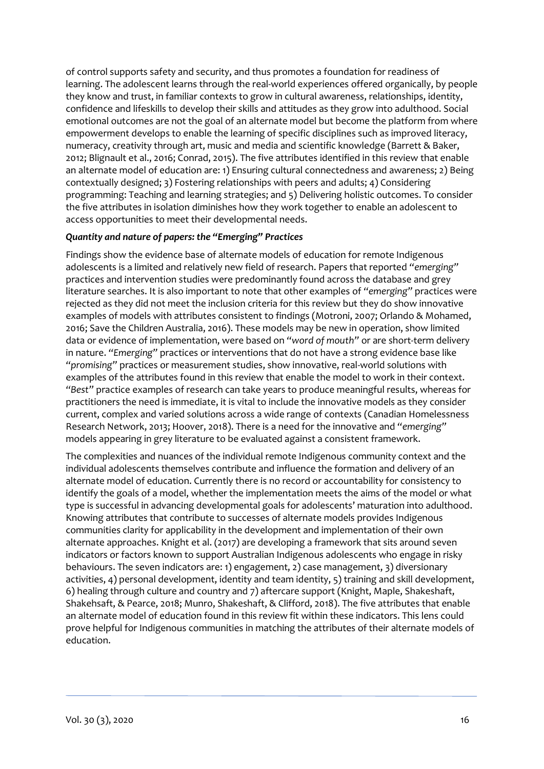of control supports safety and security, and thus promotes a foundation for readiness of learning. The adolescent learns through the real-world experiences offered organically, by people they know and trust, in familiar contexts to grow in cultural awareness, relationships, identity, confidence and lifeskills to develop their skills and attitudes as they grow into adulthood. Social emotional outcomes are not the goal of an alternate model but become the platform from where empowerment develops to enable the learning of specific disciplines such as improved literacy, numeracy, creativity through art, music and media and scientific knowledge (Barrett & Baker, 2012; Blignault et al., 2016; Conrad, 2015). The five attributes identified in this review that enable an alternate model of education are: 1) Ensuring cultural connectedness and awareness; 2) Being contextually designed; 3) Fostering relationships with peers and adults; 4) Considering programming: Teaching and learning strategies; and 5) Delivering holistic outcomes. To consider the five attributes in isolation diminishes how they work together to enable an adolescent to access opportunities to meet their developmental needs.

# *Quantity and nature of papers: the "Emerging" Practices*

Findings show the evidence base of alternate models of education for remote Indigenous adolescents is a limited and relatively new field of research. Papers that reported *"emerging"* practices and intervention studies were predominantly found across the database and grey literature searches. It is also important to note that other examples of *"emerging"* practices were rejected as they did not meet the inclusion criteria for this review but they do show innovative examples of models with attributes consistent to findings (Motroni, 2007; Orlando & Mohamed, 2016; Save the Children Australia, 2016). These models may be new in operation, show limited data or evidence of implementation, were based on *"word of mouth"* or are short-term delivery in nature. *"Emerging"* practices or interventions that do not have a strong evidence base like *"promising"* practices or measurement studies, show innovative, real-world solutions with examples of the attributes found in this review that enable the model to work in their context. *"Best"* practice examples of research can take years to produce meaningful results, whereas for practitioners the need is immediate, it is vital to include the innovative models as they consider current, complex and varied solutions across a wide range of contexts (Canadian Homelessness Research Network, 2013; Hoover, 2018). There is a need for the innovative and *"emerging"* models appearing in grey literature to be evaluated against a consistent framework.

The complexities and nuances of the individual remote Indigenous community context and the individual adolescents themselves contribute and influence the formation and delivery of an alternate model of education. Currently there is no record or accountability for consistency to identify the goals of a model, whether the implementation meets the aims of the model or what type is successful in advancing developmental goals for adolescents' maturation into adulthood. Knowing attributes that contribute to successes of alternate models provides Indigenous communities clarity for applicability in the development and implementation of their own alternate approaches. Knight et al. (2017) are developing a framework that sits around seven indicators or factors known to support Australian Indigenous adolescents who engage in risky behaviours. The seven indicators are: 1) engagement, 2) case management, 3) diversionary activities, 4) personal development, identity and team identity, 5) training and skill development, 6) healing through culture and country and 7) aftercare support (Knight, Maple, Shakeshaft, Shakehsaft, & Pearce, 2018; Munro, Shakeshaft, & Clifford, 2018). The five attributes that enable an alternate model of education found in this review fit within these indicators. This lens could prove helpful for Indigenous communities in matching the attributes of their alternate models of education.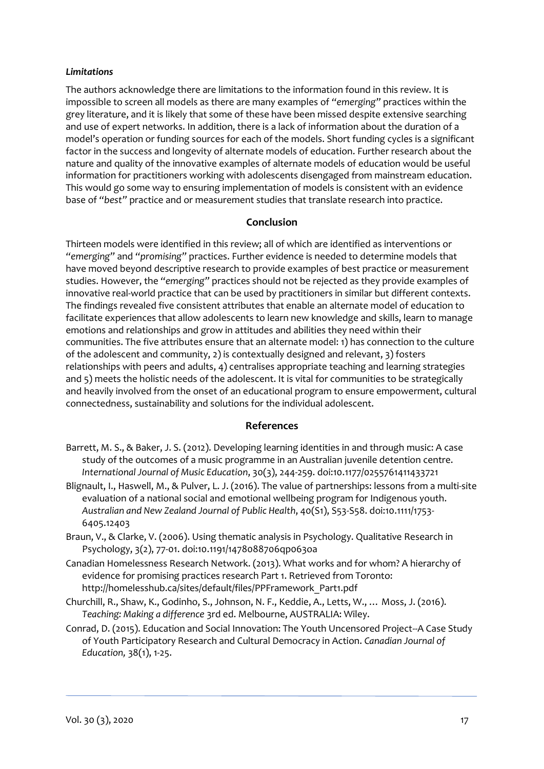#### *Limitations*

The authors acknowledge there are limitations to the information found in this review. It is impossible to screen all models as there are many examples of *"emerging"* practices within the grey literature, and it is likely that some of these have been missed despite extensive searching and use of expert networks. In addition, there is a lack of information about the duration of a model's operation or funding sources for each of the models. Short funding cycles is a significant factor in the success and longevity of alternate models of education. Further research about the nature and quality of the innovative examples of alternate models of education would be useful information for practitioners working with adolescents disengaged from mainstream education. This would go some way to ensuring implementation of models is consistent with an evidence base of *"best"* practice and or measurement studies that translate research into practice.

# **Conclusion**

Thirteen models were identified in this review; all of which are identified as interventions or *"emerging"* and *"promising"* practices. Further evidence is needed to determine models that have moved beyond descriptive research to provide examples of best practice or measurement studies. However, the *"emerging"* practices should not be rejected as they provide examples of innovative real-world practice that can be used by practitioners in similar but different contexts. The findings revealed five consistent attributes that enable an alternate model of education to facilitate experiences that allow adolescents to learn new knowledge and skills, learn to manage emotions and relationships and grow in attitudes and abilities they need within their communities. The five attributes ensure that an alternate model: 1) has connection to the culture of the adolescent and community, 2) is contextually designed and relevant, 3) fosters relationships with peers and adults, 4) centralises appropriate teaching and learning strategies and 5) meets the holistic needs of the adolescent. It is vital for communities to be strategically and heavily involved from the onset of an educational program to ensure empowerment, cultural connectedness, sustainability and solutions for the individual adolescent.

#### **References**

- Barrett, M. S., & Baker, J. S. (2012). Developing learning identities in and through music: A case study of the outcomes of a music programme in an Australian juvenile detention centre. *International Journal of Music Education*, 30(3), 244-259. doi:10.1177/0255761411433721
- Blignault, I., Haswell, M., & Pulver, L. J. (2016). The value of partnerships: lessons from a multi‐site evaluation of a national social and emotional wellbeing program for Indigenous youth. *Australian and New Zealand Journal of Public Health*, 40(S1), S53-S58. doi:10.1111/1753- 6405.12403
- Braun, V., & Clarke, V. (2006). Using thematic analysis in Psychology. Qualitative Research in Psychology, 3(2), 77-01. doi:10.1191/1478088706qp063oa
- Canadian Homelessness Research Network. (2013). What works and for whom? A hierarchy of evidence for promising practices research Part 1. Retrieved from Toronto: http://homelesshub.ca/sites/default/files/PPFramework\_Part1.pdf
- Churchill, R., Shaw, K., Godinho, S., Johnson, N. F., Keddie, A., Letts, W., … Moss, J. (2016). *Teaching: Making a difference* 3rd ed. Melbourne, AUSTRALIA: Wiley.
- Conrad, D. (2015). Education and Social Innovation: The Youth Uncensored Project--A Case Study of Youth Participatory Research and Cultural Democracy in Action. *Canadian Journal of Education,* 38(1), 1-25.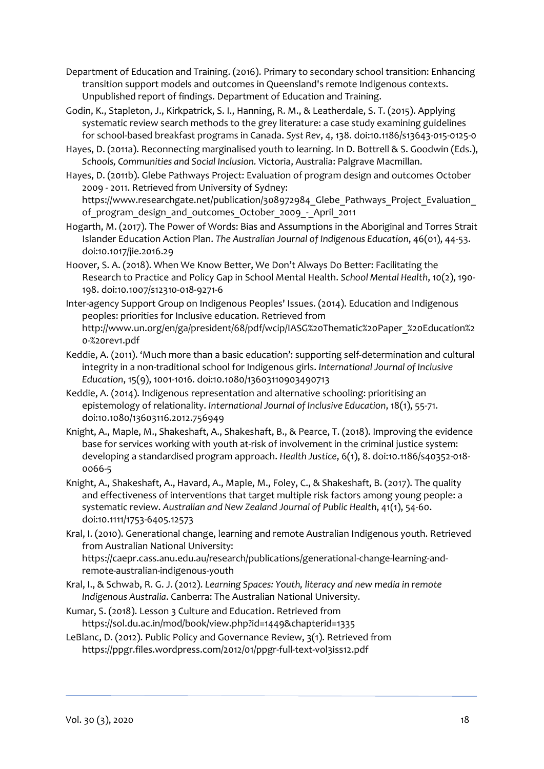- Department of Education and Training. (2016). Primary to secondary school transition: Enhancing transition support models and outcomes in Queensland's remote Indigenous contexts. Unpublished report of findings. Department of Education and Training.
- Godin, K., Stapleton, J., Kirkpatrick, S. I., Hanning, R. M., & Leatherdale, S. T. (2015). Applying systematic review search methods to the grey literature: a case study examining guidelines for school-based breakfast programs in Canada. *Syst Rev*, 4, 138. doi:10.1186/s13643-015-0125-0
- Hayes, D. (2011a). Reconnecting marginalised youth to learning. In D. Bottrell & S. Goodwin (Eds.), *Schools, Communities and Social Inclusion.* Victoria, Australia: Palgrave Macmillan.
- Hayes, D. (2011b). Glebe Pathways Project: Evaluation of program design and outcomes October 2009 - 2011. Retrieved from University of Sydney:

https://www.researchgate.net/publication/308972984 Glebe Pathways Project Evaluation of program design and outcomes October 2009 - April 2011

- Hogarth, M. (2017). The Power of Words: Bias and Assumptions in the Aboriginal and Torres Strait Islander Education Action Plan. *The Australian Journal of Indigenous Education*, 46(01), 44-53. doi:10.1017/jie.2016.29
- Hoover, S. A. (2018). When We Know Better, We Don't Always Do Better: Facilitating the Research to Practice and Policy Gap in School Mental Health. *School Mental Health*, 10(2), 190- 198. doi:10.1007/s12310-018-9271-6
- Inter-agency Support Group on Indigenous Peoples' Issues. (2014). Education and Indigenous peoples: priorities for Inclusive education. Retrieved from http://www.un.org/en/ga/president/68/pdf/wcip/IASG%20Thematic%20Paper\_%20Education%2 0-%20rev1.pdf
- Keddie, A. (2011). 'Much more than a basic education': supporting self-determination and cultural integrity in a non-traditional school for Indigenous girls. *International Journal of Inclusive Education*, 15(9), 1001-1016. doi:10.1080/13603110903490713
- Keddie, A. (2014). Indigenous representation and alternative schooling: prioritising an epistemology of relationality. *International Journal of Inclusive Education*, 18(1), 55-71. doi:10.1080/13603116.2012.756949
- Knight, A., Maple, M., Shakeshaft, A., Shakeshaft, B., & Pearce, T. (2018). Improving the evidence base for services working with youth at-risk of involvement in the criminal justice system: developing a standardised program approach. *Health Justice*, 6(1), 8. doi:10.1186/s40352-018- 0066-5
- Knight, A., Shakeshaft, A., Havard, A., Maple, M., Foley, C., & Shakeshaft, B. (2017). The quality and effectiveness of interventions that target multiple risk factors among young people: a systematic review. *Australian and New Zealand Journal of Public Health*, 41(1), 54-60. doi:10.1111/1753-6405.12573
- Kral, I. (2010). Generational change, learning and remote Australian Indigenous youth. Retrieved from Australian National University: https://caepr.cass.anu.edu.au/research/publications/generational-change-learning-andremote-australian-indigenous-youth
- Kral, I., & Schwab, R. G. J. (2012). *Learning Spaces: Youth, literacy and new media in remote Indigenous Australia*. Canberra: The Australian National University.
- Kumar, S. (2018). Lesson 3 Culture and Education. Retrieved from https://sol.du.ac.in/mod/book/view.php?id=1449&chapterid=1335
- LeBlanc, D. (2012). Public Policy and Governance Review, 3(1). Retrieved from https://ppgr.files.wordpress.com/2012/01/ppgr-full-text-vol3iss12.pdf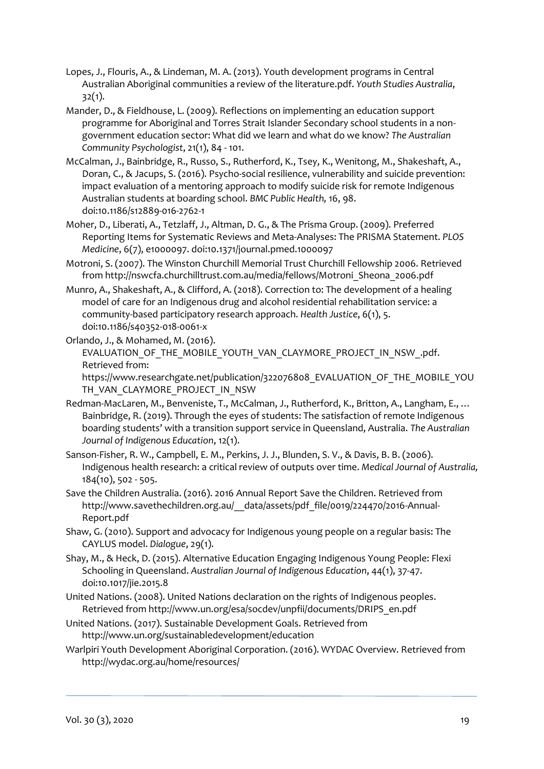- Lopes, J., Flouris, A., & Lindeman, M. A. (2013). Youth development programs in Central Australian Aboriginal communities a review of the literature.pdf. *Youth Studies Australia*, 32(1).
- Mander, D., & Fieldhouse, L. (2009). Reflections on implementing an education support programme for Aboriginal and Torres Strait Islander Secondary school students in a nongovernment education sector: What did we learn and what do we know? *The Australian Community Psychologist*, 21(1), 84 - 101.
- McCalman, J., Bainbridge, R., Russo, S., Rutherford, K., Tsey, K., Wenitong, M., Shakeshaft, A., Doran, C., & Jacups, S. (2016). Psycho-social resilience, vulnerability and suicide prevention: impact evaluation of a mentoring approach to modify suicide risk for remote Indigenous Australian students at boarding school. *BMC Public Health,* 16, 98. doi:10.1186/s12889-016-2762-1
- Moher, D., Liberati, A., Tetzlaff, J., Altman, D. G., & The Prisma Group. (2009). Preferred Reporting Items for Systematic Reviews and Meta-Analyses: The PRISMA Statement. *PLOS Medicine*, 6(7), e1000097. doi:10.1371/journal.pmed.1000097
- Motroni, S. (2007). The Winston Churchill Memorial Trust Churchill Fellowship 2006. Retrieved from http://nswcfa.churchilltrust.com.au/media/fellows/Motroni\_Sheona\_2006.pdf
- Munro, A., Shakeshaft, A., & Clifford, A. (2018). Correction to: The development of a healing model of care for an Indigenous drug and alcohol residential rehabilitation service: a community-based participatory research approach. *Health Justice*, 6(1), 5. doi:10.1186/s40352-018-0061-x
- Orlando, J., & Mohamed, M. (2016). EVALUATION OF THE MOBILE YOUTH VAN CLAYMORE PROJECT IN NSW .pdf. Retrieved from:
	- [https://www.researchgate.net/publication/322076808\\_EVALUATION\\_OF\\_THE\\_MOBILE\\_YOU](https://www.researchgate.net/publication/322076808_EVALUATION_OF_THE_MOBILE_YOUTH_VAN_CLAYMORE_PROJECT_IN_NSW) [TH\\_VAN\\_CLAYMORE\\_PROJECT\\_IN\\_NSW](https://www.researchgate.net/publication/322076808_EVALUATION_OF_THE_MOBILE_YOUTH_VAN_CLAYMORE_PROJECT_IN_NSW)
- Redman-MacLaren, M., Benveniste, T., McCalman, J., Rutherford, K., Britton, A., Langham, E., … Bainbridge, R. (2019). Through the eyes of students: The satisfaction of remote Indigenous boarding students' with a transition support service in Queensland, Australia. *The Australian Journal of Indigenous Education*, 12(1).
- Sanson-Fisher, R. W., Campbell, E. M., Perkins, J. J., Blunden, S. V., & Davis, B. B. (2006). Indigenous health research: a critical review of outputs over time. *Medical Journal of Australia,* 184(10), 502 - 505.
- Save the Children Australia. (2016). 2016 Annual Report Save the Children. Retrieved from http://www.savethechildren.org.au/ data/assets/pdf file/0019/224470/2016-Annual-Report.pdf
- Shaw, G. (2010). Support and advocacy for Indigenous young people on a regular basis: The CAYLUS model. *Dialogue*, 29(1).
- Shay, M., & Heck, D. (2015). Alternative Education Engaging Indigenous Young People: Flexi Schooling in Queensland. *Australian Journal of Indigenous Education*, 44(1), 37-47. doi:10.1017/jie.2015.8
- United Nations. (2008). United Nations declaration on the rights of Indigenous peoples. Retrieved from http://www.un.org/esa/socdev/unpfii/documents/DRIPS\_en.pdf
- United Nations. (2017). Sustainable Development Goals. Retrieved from http://www.un.org/sustainabledevelopment/education
- Warlpiri Youth Development Aboriginal Corporation. (2016). WYDAC Overview. Retrieved from http://wydac.org.au/home/resources/